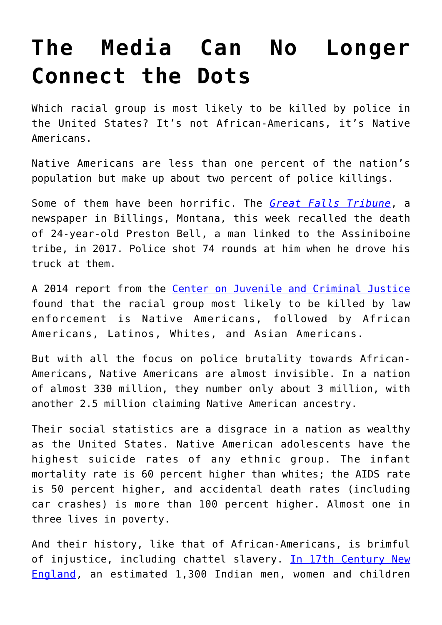## **[The Media Can No Longer](https://intellectualtakeout.org/2020/06/the-media-can-no-longer-connect-the-dots/) [Connect the Dots](https://intellectualtakeout.org/2020/06/the-media-can-no-longer-connect-the-dots/)**

Which racial group is most likely to be killed by police in the United States? It's not African-Americans, it's Native Americans.

Native Americans are less than one percent of the nation's population but make up about two percent of police killings.

Some of them have been horrific. The *[Great Falls Tribune](https://www.greatfallstribune.com/story/news/2020/06/22/montana-native-american-police-brutality-george-floyd-protest-lives-matter/5334187002/)*, a newspaper in Billings, Montana, this week recalled the death of 24-year-old Preston Bell, a man linked to the Assiniboine tribe, in 2017. Police shot 74 rounds at him when he drove his truck at them.

A 2014 report from the [Center on Juvenile and Criminal Justice](http://www.cjcj.org/news/8113) found that the racial group most likely to be killed by law enforcement is Native Americans, followed by African Americans, Latinos, Whites, and Asian Americans.

But with all the focus on police brutality towards African-Americans, Native Americans are almost invisible. In a nation of almost 330 million, they number only about 3 million, with another 2.5 million claiming Native American ancestry.

Their social statistics are a disgrace in a nation as wealthy as the United States. Native American adolescents have the highest suicide rates of any ethnic group. The infant mortality rate is 60 percent higher than whites; the AIDS rate is 50 percent higher, and accidental death rates (including car crashes) is more than 100 percent higher. Almost one in three lives in poverty.

And their history, like that of African-Americans, is brimful of injustice, including chattel slavery. [In 17th Century New](https://books.google.com.au/books?id=HT69BbA3Is8C&printsec=frontcover&dq=isbn:0803222009&hl=en&sa=X&ved=2ahUKEwi1sL_p1ZfqAhUe63MBHdsFBo8Q6AEwAHoECAAQAg#v=onepage&q=newell&f=false) [England,](https://books.google.com.au/books?id=HT69BbA3Is8C&printsec=frontcover&dq=isbn:0803222009&hl=en&sa=X&ved=2ahUKEwi1sL_p1ZfqAhUe63MBHdsFBo8Q6AEwAHoECAAQAg#v=onepage&q=newell&f=false) an estimated 1,300 Indian men, women and children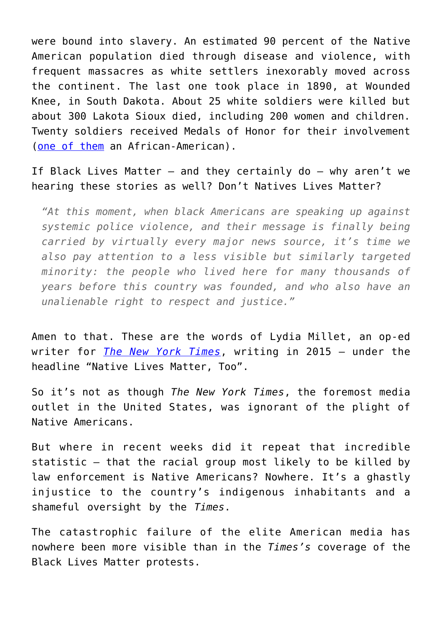were bound into slavery. An estimated 90 percent of the Native American population died through disease and violence, with frequent massacres as white settlers inexorably moved across the continent. The last one took place in 1890, at Wounded Knee, in South Dakota. About 25 white soldiers were killed but about 300 Lakota Sioux died, including 200 women and children. Twenty soldiers received Medals of Honor for their involvement ([one of them](https://en.wikipedia.org/wiki/William_Othello_Wilson) an African-American).

If Black Lives Matter – and they certainly do – why aren't we hearing these stories as well? Don't Natives Lives Matter?

*"At this moment, when black Americans are speaking up against systemic police violence, and their message is finally being carried by virtually every major news source, it's time we also pay attention to a less visible but similarly targeted minority: the people who lived here for many thousands of years before this country was founded, and who also have an unalienable right to respect and justice."*

Amen to that. These are the words of Lydia Millet, an op-ed writer for *[The New York Times](https://www.nytimes.com/2015/10/13/opinion/native-lives-matter-too.html)*, writing in 2015 — under the headline "Native Lives Matter, Too".

So it's not as though *The New York Times*, the foremost media outlet in the United States, was ignorant of the plight of Native Americans.

But where in recent weeks did it repeat that incredible statistic – that the racial group most likely to be killed by law enforcement is Native Americans? Nowhere. It's a ghastly injustice to the country's indigenous inhabitants and a shameful oversight by the *Times*.

The catastrophic failure of the elite American media has nowhere been more visible than in the *Times's* coverage of the Black Lives Matter protests.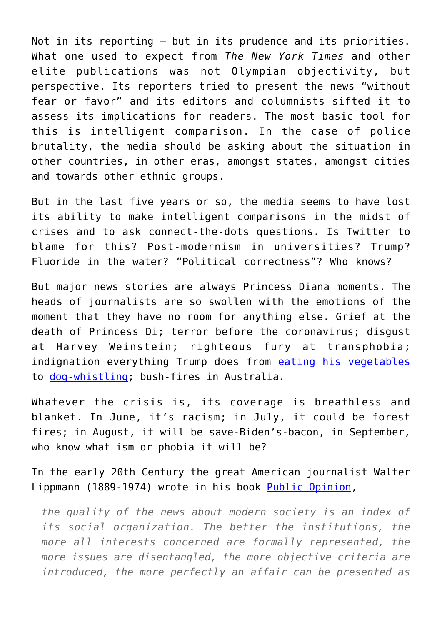Not in its reporting – but in its prudence and its priorities. What one used to expect from *The New York Times* and other elite publications was not Olympian objectivity, but perspective. Its reporters tried to present the news "without fear or favor" and its editors and columnists sifted it to assess its implications for readers. The most basic tool for this is intelligent comparison. In the case of police brutality, the media should be asking about the situation in other countries, in other eras, amongst states, amongst cities and towards other ethnic groups.

But in the last five years or so, the media seems to have lost its ability to make intelligent comparisons in the midst of crises and to ask connect-the-dots questions. Is Twitter to blame for this? Post-modernism in universities? Trump? Fluoride in the water? "Political correctness"? Who knows?

But major news stories are always Princess Diana moments. The heads of journalists are so swollen with the emotions of the moment that they have no room for anything else. Grief at the death of Princess Di; terror before the coronavirus; disgust at Harvey Weinstein; righteous fury at transphobia; indignation everything Trump does from [eating his vegetables](https://www.nytimes.com/2020/02/24/us/politics/ronny-jackson-congress-texas.html) to [dog-whistling;](https://www.nytimes.com/2019/07/15/opinion/trump-twitter-racist.html) bush-fires in Australia.

Whatever the crisis is, its coverage is breathless and blanket. In June, it's racism; in July, it could be forest fires; in August, it will be save-Biden's-bacon, in September, who know what ism or phobia it will be?

In the early 20th Century the great American journalist Walter Lippmann (1889-1974) wrote in his book [Public Opinion](http://www.gutenberg.org/cache/epub/6456/pg6456-images.html),

*the quality of the news about modern society is an index of its social organization. The better the institutions, the more all interests concerned are formally represented, the more issues are disentangled, the more objective criteria are introduced, the more perfectly an affair can be presented as*